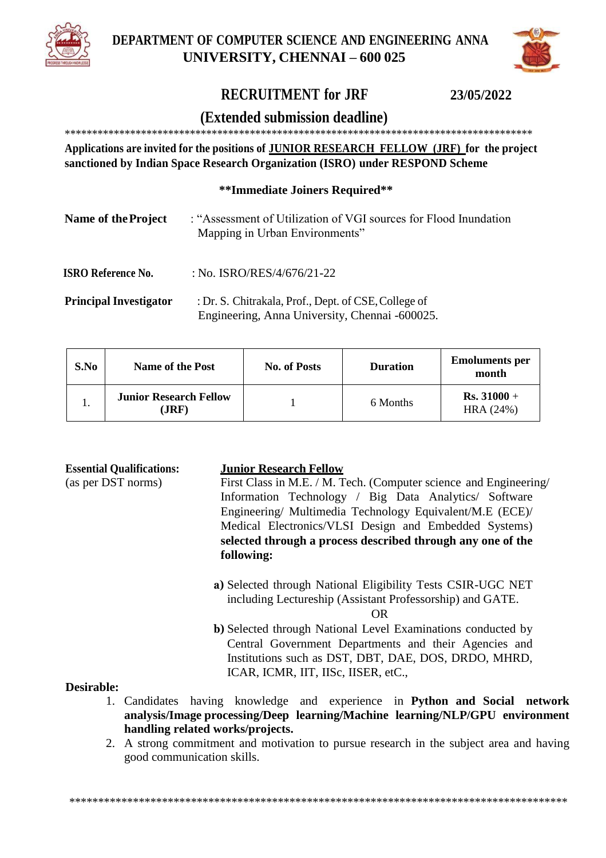



# **RECRUITMENT for JRF 23/05/2022**

## **(Extended submission deadline)**

\*\*\*\*\*\*\*\*\*\*\*\*\*\*\*\*\*\*\*\*\*\*\*\*\*\*\*\*\*\*\*\*\*\*\*\*\*\*\*\*\*\*\*\*\*\*\*\*\*\*\*\*\*\*\*\*\*\*\*\*\*\*\*\*\*\*\*\*\*\*\*\*\*\*\*\*\*\*\*\*\*\*\*\*\*\*

**Applications are invited for the positions of JUNIOR RESEARCH FELLOW (JRF) for the project sanctioned by Indian Space Research Organization (ISRO) under RESPOND Scheme**

#### **\*\*Immediate Joiners Required\*\***

| Name of the Project           | : "Assessment of Utilization of VGI sources for Flood Inundation<br>Mapping in Urban Environments" |
|-------------------------------|----------------------------------------------------------------------------------------------------|
| ISRO Reference No.            | : No. ISRO/RES/4/676/21-22                                                                         |
| <b>Principal Investigator</b> | Dr. S. Chitrakala, Prof., Dent. of CSE, College of                                                 |

**Principal Investigator** : Dr. S. Chitrakala, Prof., Dept. of CSE,College of Engineering, Anna University, Chennai -600025.

| S.No | <b>Name of the Post</b>               | <b>No. of Posts</b> | <b>Duration</b> | <b>Emoluments per</b><br>month |
|------|---------------------------------------|---------------------|-----------------|--------------------------------|
|      | <b>Junior Research Fellow</b><br>JRF) |                     | 6 Months        | $Rs. 31000 +$<br>HRA(24%)      |

#### **Essential Qualifications: Junior Research Fellow**

(as per DST norms) First Class in M.E. / M. Tech. (Computer science and Engineering/ Information Technology / Big Data Analytics/ Software Engineering/ Multimedia Technology Equivalent/M.E (ECE)/ Medical Electronics/VLSI Design and Embedded Systems) **selected through a process described through any one of the following:**

- **a)** Selected through National Eligibility Tests CSIR-UGC NET including Lectureship (Assistant Professorship) and GATE. OR
- **b)** Selected through National Level Examinations conducted by Central Government Departments and their Agencies and Institutions such as DST, DBT, DAE, DOS, DRDO, MHRD, ICAR, ICMR, IIT, IISc, IISER, etC.,

#### **Desirable:**

- 1. Candidates having knowledge and experience in **Python and Social network analysis/Image processing/Deep learning/Machine learning/NLP/GPU environment handling related works/projects.**
- 2. A strong commitment and motivation to pursue research in the subject area and having good communication skills.

\*\*\*\*\*\*\*\*\*\*\*\*\*\*\*\*\*\*\*\*\*\*\*\*\*\*\*\*\*\*\*\*\*\*\*\*\*\*\*\*\*\*\*\*\*\*\*\*\*\*\*\*\*\*\*\*\*\*\*\*\*\*\*\*\*\*\*\*\*\*\*\*\*\*\*\*\*\*\*\*\*\*\*\*\*\*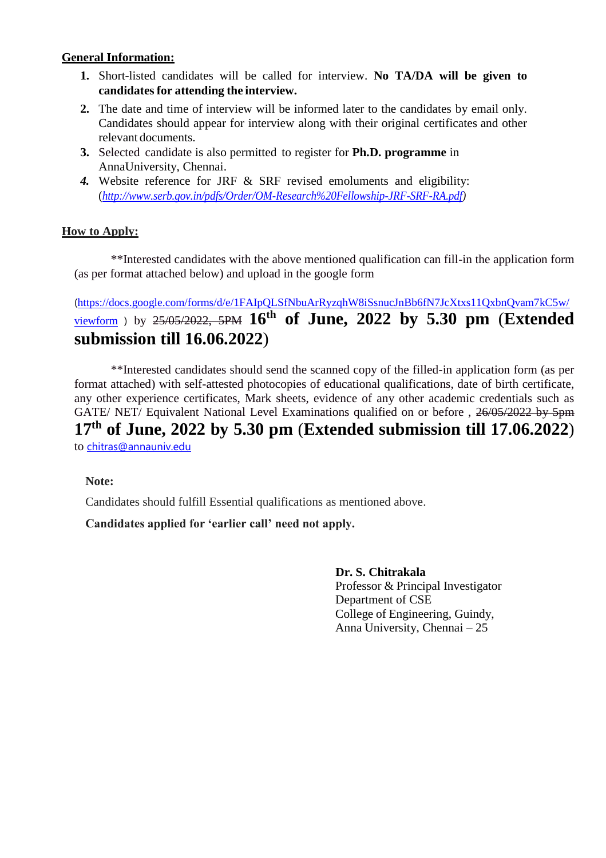#### **General Information:**

- **1.** Short-listed candidates will be called for interview. **No TA/DA will be given to candidates for attending the interview.**
- **2.** The date and time of interview will be informed later to the candidates by email only. Candidates should appear for interview along with their original certificates and other relevant documents.
- **3.** Selected candidate is also permitted to register for **Ph.D. programme** in AnnaUniversity, Chennai.
- *4.* Website reference for JRF & SRF revised emoluments and eligibility: (*[http://www.serb.gov.in/pdfs/Order/OM-Research%20Fellowship-JRF-SRF-RA.pdf\)](http://www.serb.gov.in/pdfs/Order/OM-Research%20Fellowship-JRF-SRF-RA.pdf)*

## **How to Apply:**

\*\*Interested candidates with the above mentioned qualification can fill-in the application form (as per format attached below) and upload in the google form

([https://docs.google.com/forms/d/e/1FAIpQLSfNbuArRyzqhW8iSsnucJnBb6fN7JcXtxs11QxbnQvam7kC5w/](https://docs.google.com/forms/d/e/1FAIpQLSfNbuArRyzqhW8iSsnucJnBb6fN7JcXtxs11QxbnQvam7kC5w/viewform) [viewform](https://docs.google.com/forms/d/e/1FAIpQLSfNbuArRyzqhW8iSsnucJnBb6fN7JcXtxs11QxbnQvam7kC5w/viewform) ) by 25/05/2022, 5PM **16th of June, 2022 by 5.30 pm** (**Extended submission till 16.06.2022**)

\*\*Interested candidates should send the scanned copy of the filled-in application form (as per format attached) with self-attested photocopies of educational qualifications, date of birth certificate, any other experience certificates, Mark sheets, evidence of any other academic credentials such as GATE/ NET/ Equivalent National Level Examinations qualified on or before , 26/05/2022 by 5pm **17th of June, 2022 by 5.30 pm** (**Extended submission till 17.06.2022**) to [chitras@annauniv.edu](mailto:chitras@annauniv.edu)

### **Note:**

Candidates should fulfill Essential qualifications as mentioned above.

### **Candidates applied for 'earlier call' need not apply.**

**Dr. S. Chitrakala**

Professor & Principal Investigator Department of CSE College of Engineering, Guindy, Anna University, Chennai – 25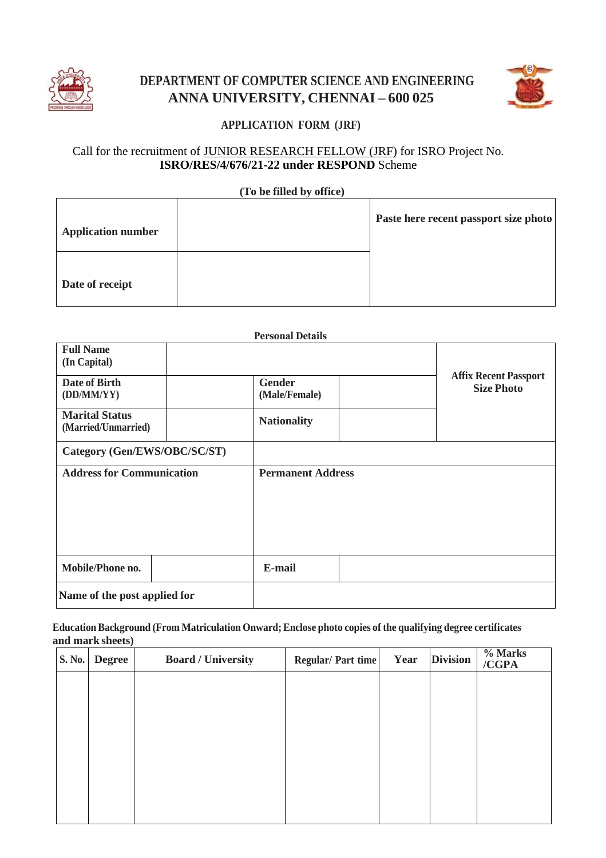

# **DEPARTMENT OF COMPUTER SCIENCE AND ENGINEERING ANNA UNIVERSITY, CHENNAI – 600 025**



# **APPLICATION FORM (JRF)**

## Call for the recruitment of JUNIOR RESEARCH FELLOW (JRF) for ISRO Project No. **ISRO/RES/4/676/21-22 under RESPOND** Scheme

#### **(To be filled by office)**

| <b>Application number</b> | Paste here recent passport size photo |
|---------------------------|---------------------------------------|
| Date of receipt           |                                       |

#### **Personal Details**

| <b>Full Name</b><br>(In Capital)<br>Date of Birth |  | <b>Gender</b>            | <b>Affix Recent Passport</b> |
|---------------------------------------------------|--|--------------------------|------------------------------|
| (DD/MM/YY)                                        |  | (Male/Female)            | <b>Size Photo</b>            |
| <b>Marital Status</b><br>(Married/Unmarried)      |  | <b>Nationality</b>       |                              |
| Category (Gen/EWS/OBC/SC/ST)                      |  |                          |                              |
| <b>Address for Communication</b>                  |  | <b>Permanent Address</b> |                              |
| Mobile/Phone no.                                  |  | E-mail                   |                              |
| Name of the post applied for                      |  |                          |                              |

#### **EducationBackground (From Matriculation Onward;Enclose photo copies of the qualifying degree certificates and mark sheets)**

| S. No. | <b>Degree</b> | <b>Board / University</b> | <b>Regular/Part time</b> | Year | <b>Division</b> | % Marks<br>/CGPA |
|--------|---------------|---------------------------|--------------------------|------|-----------------|------------------|
|        |               |                           |                          |      |                 |                  |
|        |               |                           |                          |      |                 |                  |
|        |               |                           |                          |      |                 |                  |
|        |               |                           |                          |      |                 |                  |
|        |               |                           |                          |      |                 |                  |
|        |               |                           |                          |      |                 |                  |